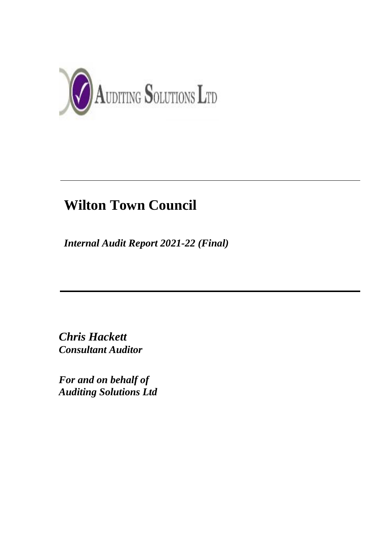

# **Wilton Town Council**

*Internal Audit Report 2021-22 (Final)*

*Chris Hackett Consultant Auditor*

*For and on behalf of Auditing Solutions Ltd*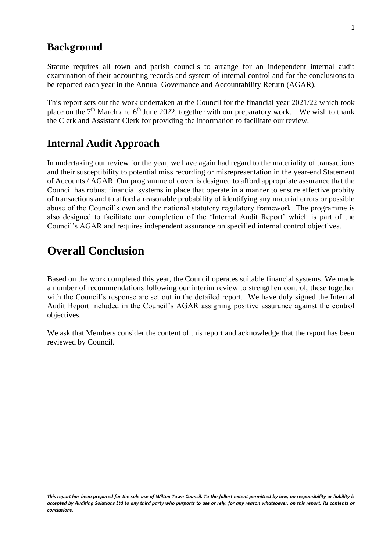### **Background**

Statute requires all town and parish councils to arrange for an independent internal audit examination of their accounting records and system of internal control and for the conclusions to be reported each year in the Annual Governance and Accountability Return (AGAR).

This report sets out the work undertaken at the Council for the financial year 2021/22 which took place on the  $7<sup>th</sup>$  March and  $6<sup>th</sup>$  June 2022, together with our preparatory work. We wish to thank the Clerk and Assistant Clerk for providing the information to facilitate our review.

# **Internal Audit Approach**

In undertaking our review for the year, we have again had regard to the materiality of transactions and their susceptibility to potential miss recording or misrepresentation in the year-end Statement of Accounts / AGAR. Our programme of cover is designed to afford appropriate assurance that the Council has robust financial systems in place that operate in a manner to ensure effective probity of transactions and to afford a reasonable probability of identifying any material errors or possible abuse of the Council's own and the national statutory regulatory framework. The programme is also designed to facilitate our completion of the 'Internal Audit Report' which is part of the Council's AGAR and requires independent assurance on specified internal control objectives.

# **Overall Conclusion**

Based on the work completed this year, the Council operates suitable financial systems. We made a number of recommendations following our interim review to strengthen control, these together with the Council's response are set out in the detailed report. We have duly signed the Internal Audit Report included in the Council's AGAR assigning positive assurance against the control objectives.

We ask that Members consider the content of this report and acknowledge that the report has been reviewed by Council.

*This report has been prepared for the sole use of Wilton Town Council. To the fullest extent permitted by law, no responsibility or liability is accepted by Auditing Solutions Ltd to any third party who purports to use or rely, for any reason whatsoever, on this report, its contents or conclusions.*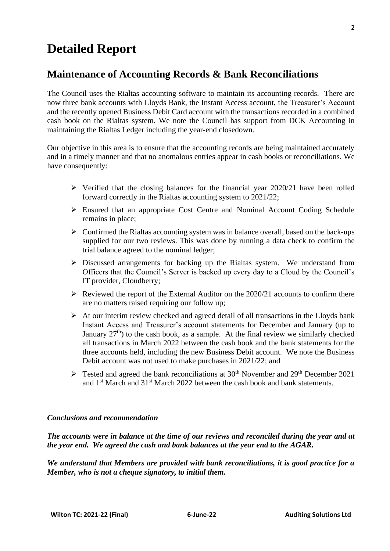# **Detailed Report**

### **Maintenance of Accounting Records & Bank Reconciliations**

The Council uses the Rialtas accounting software to maintain its accounting records. There are now three bank accounts with Lloyds Bank, the Instant Access account, the Treasurer's Account and the recently opened Business Debit Card account with the transactions recorded in a combined cash book on the Rialtas system. We note the Council has support from DCK Accounting in maintaining the Rialtas Ledger including the year-end closedown.

Our objective in this area is to ensure that the accounting records are being maintained accurately and in a timely manner and that no anomalous entries appear in cash books or reconciliations. We have consequently:

- ➢ Verified that the closing balances for the financial year 2020/21 have been rolled forward correctly in the Rialtas accounting system to 2021/22;
- ➢ Ensured that an appropriate Cost Centre and Nominal Account Coding Schedule remains in place;
- $\triangleright$  Confirmed the Rialtas accounting system was in balance overall, based on the back-ups supplied for our two reviews. This was done by running a data check to confirm the trial balance agreed to the nominal ledger;
- ➢ Discussed arrangements for backing up the Rialtas system. We understand from Officers that the Council's Server is backed up every day to a Cloud by the Council's IT provider, Cloudberry;
- $\triangleright$  Reviewed the report of the External Auditor on the 2020/21 accounts to confirm there are no matters raised requiring our follow up;
- $\triangleright$  At our interim review checked and agreed detail of all transactions in the Lloyds bank Instant Access and Treasurer's account statements for December and January (up to January  $27<sup>th</sup>$ ) to the cash book, as a sample. At the final review we similarly checked all transactions in March 2022 between the cash book and the bank statements for the three accounts held, including the new Business Debit account. We note the Business Debit account was not used to make purchases in 2021/22; and
- $\triangleright$  Tested and agreed the bank reconciliations at 30<sup>th</sup> November and 29<sup>th</sup> December 2021 and 1st March and 31st March 2022 between the cash book and bank statements.

#### *Conclusions and recommendation*

*The accounts were in balance at the time of our reviews and reconciled during the year and at the year end. We agreed the cash and bank balances at the year end to the AGAR.*

*We understand that Members are provided with bank reconciliations, it is good practice for a Member, who is not a cheque signatory, to initial them.*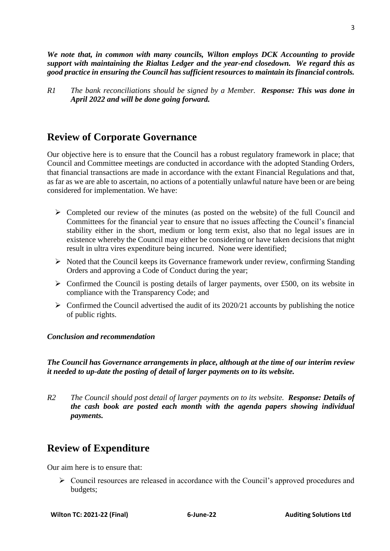*We note that, in common with many councils, Wilton employs DCK Accounting to provide support with maintaining the Rialtas Ledger and the year-end closedown. We regard this as good practice in ensuring the Council has sufficient resources to maintain its financial controls.*

*R1 The bank reconciliations should be signed by a Member. Response: This was done in April 2022 and will be done going forward.*

# **Review of Corporate Governance**

Our objective here is to ensure that the Council has a robust regulatory framework in place; that Council and Committee meetings are conducted in accordance with the adopted Standing Orders, that financial transactions are made in accordance with the extant Financial Regulations and that, as far as we are able to ascertain, no actions of a potentially unlawful nature have been or are being considered for implementation. We have:

- $\triangleright$  Completed our review of the minutes (as posted on the website) of the full Council and Committees for the financial year to ensure that no issues affecting the Council's financial stability either in the short, medium or long term exist, also that no legal issues are in existence whereby the Council may either be considering or have taken decisions that might result in ultra vires expenditure being incurred. None were identified;
- ➢ Noted that the Council keeps its Governance framework under review, confirming Standing Orders and approving a Code of Conduct during the year;
- $\triangleright$  Confirmed the Council is posting details of larger payments, over £500, on its website in compliance with the Transparency Code; and
- $\triangleright$  Confirmed the Council advertised the audit of its 2020/21 accounts by publishing the notice of public rights.

#### *Conclusion and recommendation*

*The Council has Governance arrangements in place, although at the time of our interim review it needed to up-date the posting of detail of larger payments on to its website.*

*R2 The Council should post detail of larger payments on to its website. Response: Details of the cash book are posted each month with the agenda papers showing individual payments.*

# **Review of Expenditure**

Our aim here is to ensure that:

➢ Council resources are released in accordance with the Council's approved procedures and budgets;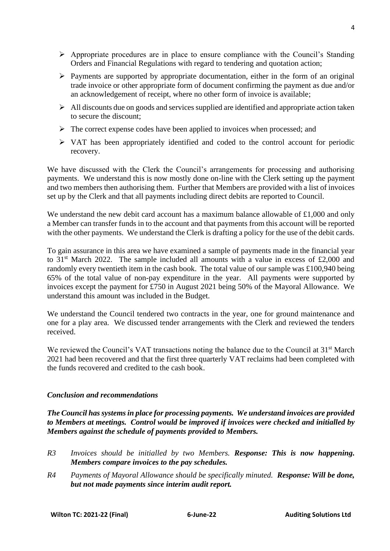$\Delta$ 

- ➢ Appropriate procedures are in place to ensure compliance with the Council's Standing Orders and Financial Regulations with regard to tendering and quotation action;
- ➢ Payments are supported by appropriate documentation, either in the form of an original trade invoice or other appropriate form of document confirming the payment as due and/or an acknowledgement of receipt, where no other form of invoice is available;
- ➢ All discounts due on goods and services supplied are identified and appropriate action taken to secure the discount;
- $\triangleright$  The correct expense codes have been applied to invoices when processed; and
- ➢ VAT has been appropriately identified and coded to the control account for periodic recovery.

We have discussed with the Clerk the Council's arrangements for processing and authorising payments. We understand this is now mostly done on-line with the Clerk setting up the payment and two members then authorising them. Further that Members are provided with a list of invoices set up by the Clerk and that all payments including direct debits are reported to Council.

We understand the new debit card account has a maximum balance allowable of  $\pounds1,000$  and only a Member can transfer funds in to the account and that payments from this account will be reported with the other payments. We understand the Clerk is drafting a policy for the use of the debit cards.

To gain assurance in this area we have examined a sample of payments made in the financial year to  $31<sup>st</sup>$  March 2022. The sample included all amounts with a value in excess of £2,000 and randomly every twentieth item in the cash book. The total value of our sample was £100,940 being 65% of the total value of non-pay expenditure in the year. All payments were supported by invoices except the payment for £750 in August 2021 being 50% of the Mayoral Allowance. We understand this amount was included in the Budget.

We understand the Council tendered two contracts in the year, one for ground maintenance and one for a play area. We discussed tender arrangements with the Clerk and reviewed the tenders received.

We reviewed the Council's VAT transactions noting the balance due to the Council at 31<sup>st</sup> March 2021 had been recovered and that the first three quarterly VAT reclaims had been completed with the funds recovered and credited to the cash book.

#### *Conclusion and recommendations*

*The Council has systems in place for processing payments. We understand invoices are provided to Members at meetings. Control would be improved if invoices were checked and initialled by Members against the schedule of payments provided to Members.*

- *R3 Invoices should be initialled by two Members. Response: This is now happening. Members compare invoices to the pay schedules.*
- *R4 Payments of Mayoral Allowance should be specifically minuted. Response: Will be done, but not made payments since interim audit report.*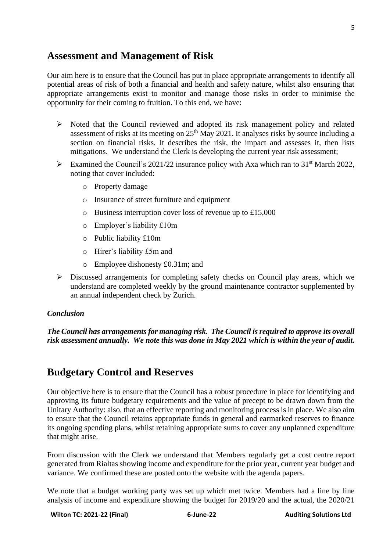# **Assessment and Management of Risk**

Our aim here is to ensure that the Council has put in place appropriate arrangements to identify all potential areas of risk of both a financial and health and safety nature, whilst also ensuring that appropriate arrangements exist to monitor and manage those risks in order to minimise the opportunity for their coming to fruition. To this end, we have:

- ➢ Noted that the Council reviewed and adopted its risk management policy and related assessment of risks at its meeting on  $25<sup>th</sup>$  May 2021. It analyses risks by source including a section on financial risks. It describes the risk, the impact and assesses it, then lists mitigations. We understand the Clerk is developing the current year risk assessment;
- $\triangleright$  Examined the Council's 2021/22 insurance policy with Axa which ran to 31<sup>st</sup> March 2022, noting that cover included:
	- o Property damage
	- o Insurance of street furniture and equipment
	- o Business interruption cover loss of revenue up to £15,000
	- o Employer's liability £10m
	- o Public liability £10m
	- o Hirer's liability £5m and
	- o Employee dishonesty £0.31m; and
- ➢ Discussed arrangements for completing safety checks on Council play areas, which we understand are completed weekly by the ground maintenance contractor supplemented by an annual independent check by Zurich.

#### *Conclusion*

*The Council has arrangements for managing risk. The Council is required to approve its overall risk assessment annually. We note this was done in May 2021 which is within the year of audit.* 

# **Budgetary Control and Reserves**

Our objective here is to ensure that the Council has a robust procedure in place for identifying and approving its future budgetary requirements and the value of precept to be drawn down from the Unitary Authority: also, that an effective reporting and monitoring process is in place. We also aim to ensure that the Council retains appropriate funds in general and earmarked reserves to finance its ongoing spending plans, whilst retaining appropriate sums to cover any unplanned expenditure that might arise.

From discussion with the Clerk we understand that Members regularly get a cost centre report generated from Rialtas showing income and expenditure for the prior year, current year budget and variance. We confirmed these are posted onto the website with the agenda papers.

We note that a budget working party was set up which met twice. Members had a line by line analysis of income and expenditure showing the budget for 2019/20 and the actual, the 2020/21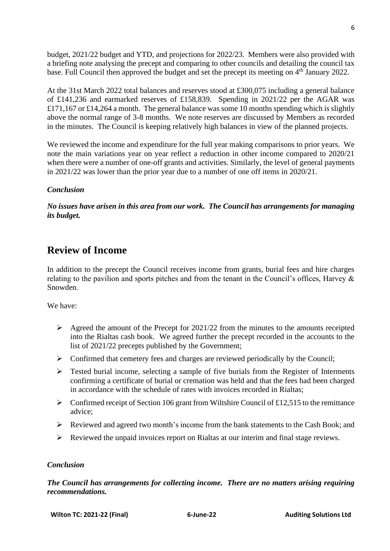budget, 2021/22 budget and YTD, and projections for 2022/23. Members were also provided with a briefing note analysing the precept and comparing to other councils and detailing the council tax base. Full Council then approved the budget and set the precept its meeting on 4<sup>th</sup> January 2022.

At the 31st March 2022 total balances and reserves stood at £300,075 including a general balance of £141,236 and earmarked reserves of £158,839. Spending in 2021/22 per the AGAR was £171,167 or £14,264 a month. The general balance was some 10 months spending which is slightly above the normal range of 3-8 months. We note reserves are discussed by Members as recorded in the minutes. The Council is keeping relatively high balances in view of the planned projects.

We reviewed the income and expenditure for the full year making comparisons to prior years. We note the main variations year on year reflect a reduction in other income compared to 2020/21 when there were a number of one-off grants and activities. Similarly, the level of general payments in 2021/22 was lower than the prior year due to a number of one off items in 2020/21.

#### *Conclusion*

*No issues have arisen in this area from our work. The Council has arrangements for managing its budget.*

# **Review of Income**

In addition to the precept the Council receives income from grants, burial fees and hire charges relating to the pavilion and sports pitches and from the tenant in the Council's offices, Harvey & Snowden.

We have:

- $\triangleright$  Agreed the amount of the Precept for 2021/22 from the minutes to the amounts receipted into the Rialtas cash book. We agreed further the precept recorded in the accounts to the list of 2021/22 precepts published by the Government;
- $\triangleright$  Confirmed that cemetery fees and charges are reviewed periodically by the Council;
- ➢ Tested burial income, selecting a sample of five burials from the Register of Interments confirming a certificate of burial or cremation was held and that the fees had been charged in accordance with the schedule of rates with invoices recorded in Rialtas;
- $\triangleright$  Confirmed receipt of Section 106 grant from Wiltshire Council of £12,515 to the remittance advice;
- ➢ Reviewed and agreed two month's income from the bank statements to the Cash Book; and
- ➢ Reviewed the unpaid invoices report on Rialtas at our interim and final stage reviews.

#### *Conclusion*

*The Council has arrangements for collecting income. There are no matters arising requiring recommendations.*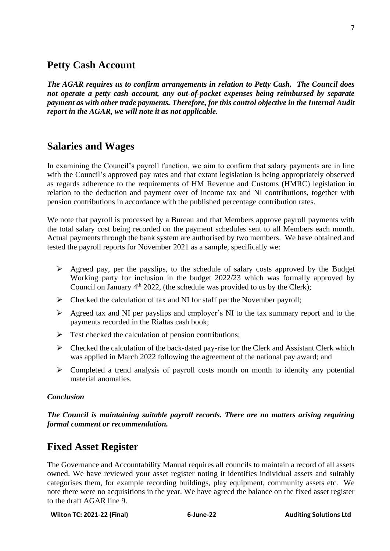# **Petty Cash Account**

*The AGAR requires us to confirm arrangements in relation to Petty Cash. The Council does not operate a petty cash account, any out-of-pocket expenses being reimbursed by separate payment as with other trade payments. Therefore, for this control objective in the Internal Audit report in the AGAR, we will note it as not applicable.*

# **Salaries and Wages**

In examining the Council's payroll function, we aim to confirm that salary payments are in line with the Council's approved pay rates and that extant legislation is being appropriately observed as regards adherence to the requirements of HM Revenue and Customs (HMRC) legislation in relation to the deduction and payment over of income tax and NI contributions, together with pension contributions in accordance with the published percentage contribution rates.

We note that payroll is processed by a Bureau and that Members approve payroll payments with the total salary cost being recorded on the payment schedules sent to all Members each month. Actual payments through the bank system are authorised by two members. We have obtained and tested the payroll reports for November 2021 as a sample, specifically we:

- $\triangleright$  Agreed pay, per the payslips, to the schedule of salary costs approved by the Budget Working party for inclusion in the budget 2022/23 which was formally approved by Council on January  $4<sup>th</sup>$  2022, (the schedule was provided to us by the Clerk);
- ➢ Checked the calculation of tax and NI for staff per the November payroll;
- ➢ Agreed tax and NI per payslips and employer's NI to the tax summary report and to the payments recorded in the Rialtas cash book;
- $\triangleright$  Test checked the calculation of pension contributions;
- $\triangleright$  Checked the calculation of the back-dated pay-rise for the Clerk and Assistant Clerk which was applied in March 2022 following the agreement of the national pay award; and
- $\triangleright$  Completed a trend analysis of payroll costs month on month to identify any potential material anomalies.

#### *Conclusion*

*The Council is maintaining suitable payroll records. There are no matters arising requiring formal comment or recommendation.*

## **Fixed Asset Register**

The Governance and Accountability Manual requires all councils to maintain a record of all assets owned. We have reviewed your asset register noting it identifies individual assets and suitably categorises them, for example recording buildings, play equipment, community assets etc. We note there were no acquisitions in the year. We have agreed the balance on the fixed asset register to the draft AGAR line 9.

```
Wilton TC: 2021-22 (Final) 6-June-22 Auditing Solutions Ltd
```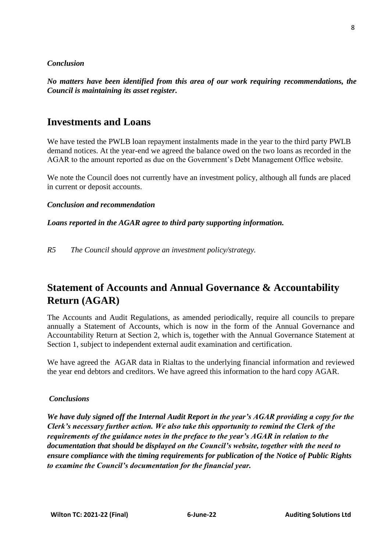#### *Conclusion*

*No matters have been identified from this area of our work requiring recommendations, the Council is maintaining its asset register.*

## **Investments and Loans**

We have tested the PWLB loan repayment instalments made in the year to the third party PWLB demand notices. At the year-end we agreed the balance owed on the two loans as recorded in the AGAR to the amount reported as due on the Government's Debt Management Office website.

We note the Council does not currently have an investment policy, although all funds are placed in current or deposit accounts.

#### *Conclusion and recommendation*

*Loans reported in the AGAR agree to third party supporting information.*

*R5 The Council should approve an investment policy/strategy.*

# **Statement of Accounts and Annual Governance & Accountability Return (AGAR)**

The Accounts and Audit Regulations, as amended periodically, require all councils to prepare annually a Statement of Accounts, which is now in the form of the Annual Governance and Accountability Return at Section 2, which is, together with the Annual Governance Statement at Section 1, subject to independent external audit examination and certification.

We have agreed the AGAR data in Rialtas to the underlying financial information and reviewed the year end debtors and creditors. We have agreed this information to the hard copy AGAR.

#### *Conclusions*

*We have duly signed off the Internal Audit Report in the year's AGAR providing a copy for the Clerk's necessary further action. We also take this opportunity to remind the Clerk of the requirements of the guidance notes in the preface to the year's AGAR in relation to the documentation that should be displayed on the Council's website, together with the need to ensure compliance with the timing requirements for publication of the Notice of Public Rights to examine the Council's documentation for the financial year.*